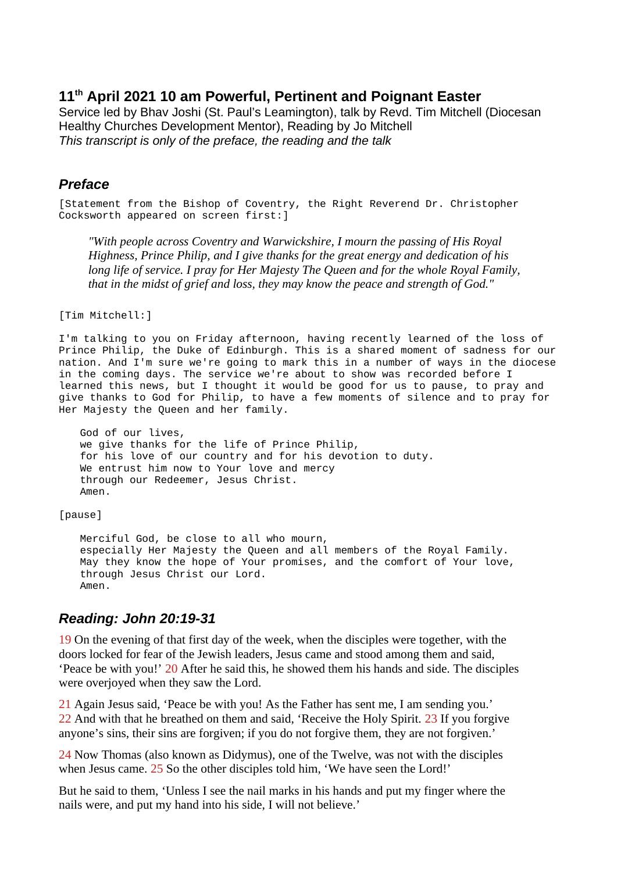### **11th April 2021 10 am Powerful, Pertinent and Poignant Easter**

Service led by Bhav Joshi (St. Paul's Leamington), talk by Revd. Tim Mitchell (Diocesan Healthy Churches Development Mentor), Reading by Jo Mitchell *This transcript is only of the preface, the reading and the talk*

#### *Preface*

[Statement from the Bishop of Coventry, the Right Reverend Dr. Christopher Cocksworth appeared on screen first:]

*"With people across Coventry and Warwickshire, I mourn the passing of His Royal Highness, Prince Philip, and I give thanks for the great energy and dedication of his long life of service. I pray for Her Majesty The Queen and for the whole Royal Family, that in the midst of grief and loss, they may know the peace and strength of God."*

[Tim Mitchell:]

I'm talking to you on Friday afternoon, having recently learned of the loss of Prince Philip, the Duke of Edinburgh. This is a shared moment of sadness for our nation. And I'm sure we're going to mark this in a number of ways in the diocese in the coming days. The service we're about to show was recorded before I learned this news, but I thought it would be good for us to pause, to pray and give thanks to God for Philip, to have a few moments of silence and to pray for Her Majesty the Queen and her family.

God of our lives, we give thanks for the life of Prince Philip, for his love of our country and for his devotion to duty. We entrust him now to Your love and mercy through our Redeemer, Jesus Christ. Amen.

[pause]

Merciful God, be close to all who mourn, especially Her Majesty the Queen and all members of the Royal Family. May they know the hope of Your promises, and the comfort of Your love, through Jesus Christ our Lord. Amen.

## *Reading: John 20:19-31*

19 On the evening of that first day of the week, when the disciples were together, with the doors locked for fear of the Jewish leaders, Jesus came and stood among them and said, 'Peace be with you!' 20 After he said this, he showed them his hands and side. The disciples were overjoyed when they saw the Lord.

21 Again Jesus said, 'Peace be with you! As the Father has sent me, I am sending you.' 22 And with that he breathed on them and said, 'Receive the Holy Spirit. 23 If you forgive anyone's sins, their sins are forgiven; if you do not forgive them, they are not forgiven.'

24 Now Thomas (also known as Didymus), one of the Twelve, was not with the disciples when Jesus came. 25 So the other disciples told him, 'We have seen the Lord!'

But he said to them, 'Unless I see the nail marks in his hands and put my finger where the nails were, and put my hand into his side, I will not believe.'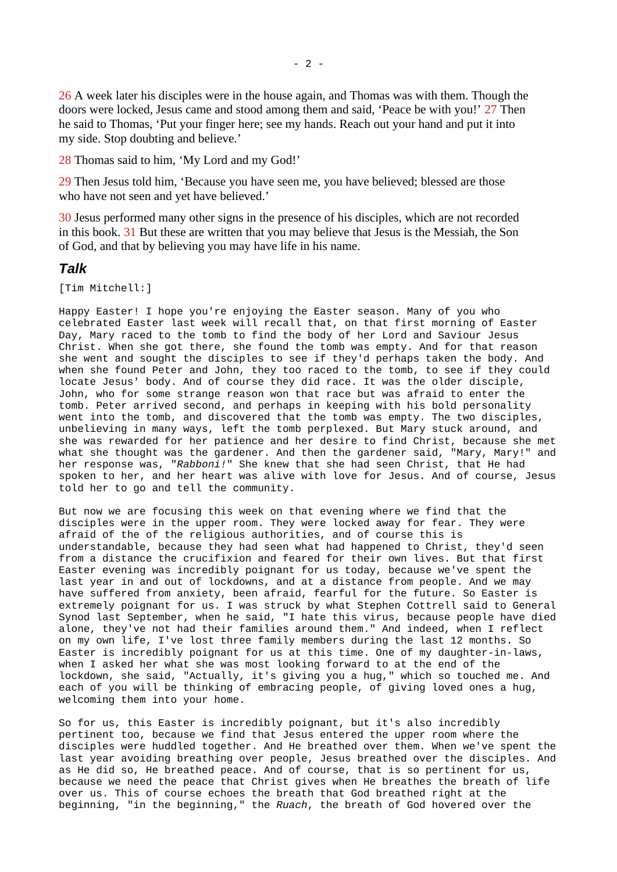26 A week later his disciples were in the house again, and Thomas was with them. Though the doors were locked, Jesus came and stood among them and said, 'Peace be with you!' 27 Then he said to Thomas, 'Put your finger here; see my hands. Reach out your hand and put it into my side. Stop doubting and believe.'

28 Thomas said to him, 'My Lord and my God!'

29 Then Jesus told him, 'Because you have seen me, you have believed; blessed are those who have not seen and yet have believed.'

30 Jesus performed many other signs in the presence of his disciples, which are not recorded in this book. 31 But these are written that you may believe that Jesus is the Messiah, the Son of God, and that by believing you may have life in his name.

#### *Talk*

[Tim Mitchell:]

Happy Easter! I hope you're enjoying the Easter season. Many of you who celebrated Easter last week will recall that, on that first morning of Easter Day, Mary raced to the tomb to find the body of her Lord and Saviour Jesus Christ. When she got there, she found the tomb was empty. And for that reason she went and sought the disciples to see if they'd perhaps taken the body. And when she found Peter and John, they too raced to the tomb, to see if they could locate Jesus' body. And of course they did race. It was the older disciple, John, who for some strange reason won that race but was afraid to enter the tomb. Peter arrived second, and perhaps in keeping with his bold personality went into the tomb, and discovered that the tomb was empty. The two disciples, unbelieving in many ways, left the tomb perplexed. But Mary stuck around, and she was rewarded for her patience and her desire to find Christ, because she met what she thought was the gardener. And then the gardener said, "Mary, Mary!" and her response was, "*Rabboni!*" She knew that she had seen Christ, that He had spoken to her, and her heart was alive with love for Jesus. And of course, Jesus told her to go and tell the community.

But now we are focusing this week on that evening where we find that the disciples were in the upper room. They were locked away for fear. They were afraid of the of the religious authorities, and of course this is understandable, because they had seen what had happened to Christ, they'd seen from a distance the crucifixion and feared for their own lives. But that first Easter evening was incredibly poignant for us today, because we've spent the last year in and out of lockdowns, and at a distance from people. And we may have suffered from anxiety, been afraid, fearful for the future. So Easter is extremely poignant for us. I was struck by what Stephen Cottrell said to General Synod last September, when he said, "I hate this virus, because people have died alone, they've not had their families around them." And indeed, when I reflect on my own life, I've lost three family members during the last 12 months. So Easter is incredibly poignant for us at this time. One of my daughter-in-laws, when I asked her what she was most looking forward to at the end of the lockdown, she said, "Actually, it's giving you a hug," which so touched me. And each of you will be thinking of embracing people, of giving loved ones a hug, welcoming them into your home.

So for us, this Easter is incredibly poignant, but it's also incredibly pertinent too, because we find that Jesus entered the upper room where the disciples were huddled together. And He breathed over them. When we've spent the last year avoiding breathing over people, Jesus breathed over the disciples. And as He did so, He breathed peace. And of course, that is so pertinent for us, because we need the peace that Christ gives when He breathes the breath of life over us. This of course echoes the breath that God breathed right at the beginning, "in the beginning," the *Ruach*, the breath of God hovered over the